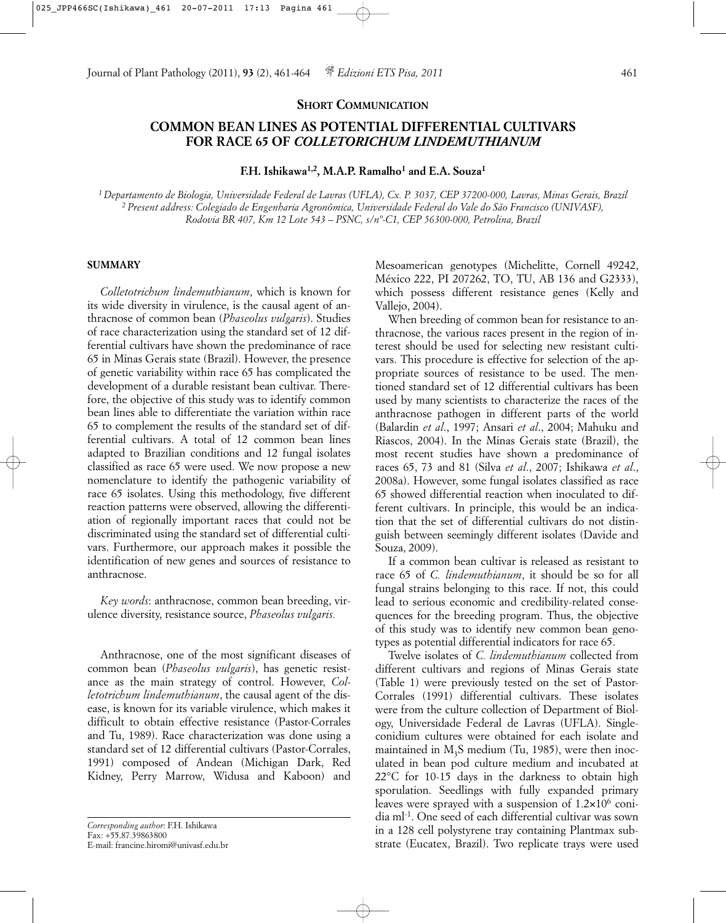## **SHORT COMMUNICATION**

# **COMMON BEAN LINES AS POTENTIAL DIFFERENTIAL CULTIVARS FOR RACE 65 OF** *COLLETORICHUM LINDEMUTHIANUM*

**F.H. Ishikawa1,2, M.A.P. Ramalho1 and E.A. Souza1**

*1 Departamento de Biologia, Universidade Federal de Lavras (UFLA), Cx. P. 3037, CEP 37200-000, Lavras, Minas Gerais, Brazil 2 Present address: Colegiado de Engenharia Agronômica, Universidade Federal do Vale do São Francisco (UNIVASF), Rodovia BR 407, Km 12 Lote 543 – PSNC, s/nº-C1, CEP 56300-000, Petrolina, Brazil*

### **SUMMARY**

*Colletotrichum lindemuthianum*, which is known for its wide diversity in virulence, is the causal agent of anthracnose of common bean (*Phaseolus vulgaris*). Studies of race characterization using the standard set of 12 differential cultivars have shown the predominance of race 65 in Minas Gerais state (Brazil). However, the presence of genetic variability within race 65 has complicated the development of a durable resistant bean cultivar. Therefore, the objective of this study was to identify common bean lines able to differentiate the variation within race 65 to complement the results of the standard set of differential cultivars. A total of 12 common bean lines adapted to Brazilian conditions and 12 fungal isolates classified as race 65 were used. We now propose a new nomenclature to identify the pathogenic variability of race 65 isolates. Using this methodology, five different reaction patterns were observed, allowing the differentiation of regionally important races that could not be discriminated using the standard set of differential cultivars. Furthermore, our approach makes it possible the identification of new genes and sources of resistance to anthracnose.

*Key words*: anthracnose, common bean breeding, virulence diversity, resistance source, *Phaseolus vulgaris.*

Anthracnose, one of the most significant diseases of common bean (*Phaseolus vulgaris*), has genetic resistance as the main strategy of control. However, *Colletotrichum lindemuthianum*, the causal agent of the disease, is known for its variable virulence, which makes it difficult to obtain effective resistance (Pastor-Corrales and Tu, 1989). Race characterization was done using a standard set of 12 differential cultivars (Pastor-Corrales, 1991) composed of Andean (Michigan Dark, Red Kidney, Perry Marrow, Widusa and Kaboon) and

*Corresponding author*: F.H. Ishikawa Fax: +55.87.39863800 E-mail: francine.hiromi@univasf.edu.br

Mesoamerican genotypes (Michelitte, Cornell 49242, México 222, PI 207262, TO, TU, AB 136 and G2333), which possess different resistance genes (Kelly and Vallejo, 2004).

When breeding of common bean for resistance to anthracnose, the various races present in the region of interest should be used for selecting new resistant cultivars. This procedure is effective for selection of the appropriate sources of resistance to be used. The mentioned standard set of 12 differential cultivars has been used by many scientists to characterize the races of the anthracnose pathogen in different parts of the world (Balardin *et al*., 1997; Ansari *et al*., 2004; Mahuku and Riascos, 2004). In the Minas Gerais state (Brazil), the most recent studies have shown a predominance of races 65, 73 and 81 (Silva *et al*., 2007; Ishikawa *et al*., 2008a). However, some fungal isolates classified as race 65 showed differential reaction when inoculated to different cultivars. In principle, this would be an indication that the set of differential cultivars do not distinguish between seemingly different isolates (Davide and Souza, 2009).

If a common bean cultivar is released as resistant to race 65 of *C. lindemuthianum*, it should be so for all fungal strains belonging to this race. If not, this could lead to serious economic and credibility-related consequences for the breeding program. Thus, the objective of this study was to identify new common bean genotypes as potential differential indicators for race 65.

Twelve isolates of *C. lindemuthianum* collected from different cultivars and regions of Minas Gerais state (Table 1) were previously tested on the set of Pastor-Corrales (1991) differential cultivars. These isolates were from the culture collection of Department of Biology, Universidade Federal de Lavras (UFLA). Singleconidium cultures were obtained for each isolate and maintained in  $M<sub>3</sub>S$  medium (Tu, 1985), were then inoculated in bean pod culture medium and incubated at 22°C for 10-15 days in the darkness to obtain high sporulation. Seedlings with fully expanded primary leaves were sprayed with a suspension of  $1.2 \times 10^6$  conidia ml-1. One seed of each differential cultivar was sown in a 128 cell polystyrene tray containing Plantmax substrate (Eucatex, Brazil). Two replicate trays were used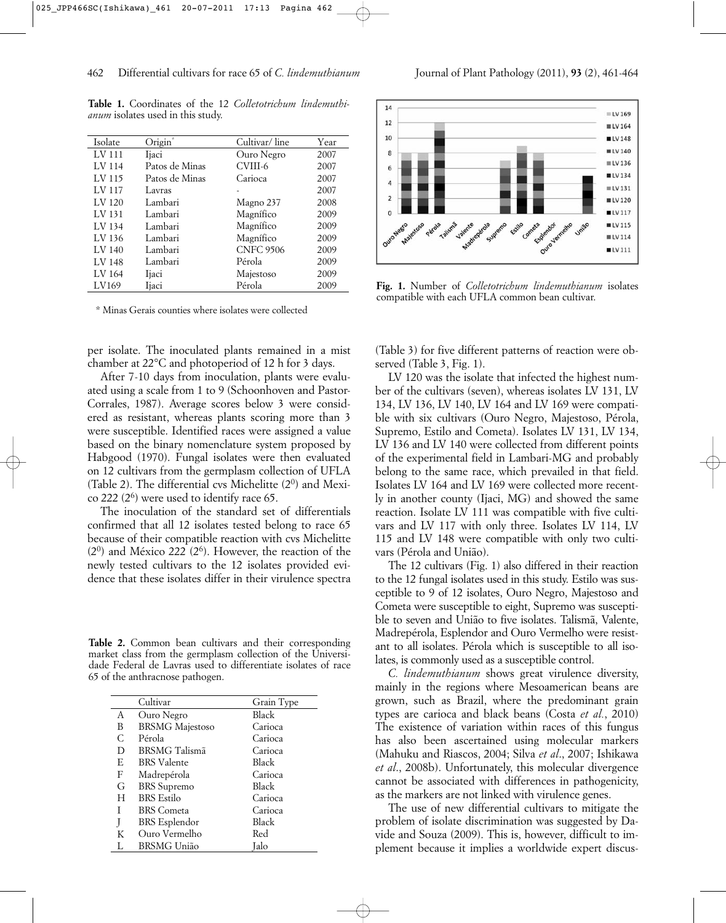**Table 1.** Coordinates of the 12 *Colletotrichum lindemuthianum* isolates used in this study.

| Isolate           | Origin®        | Cultivar/line    | Year |
|-------------------|----------------|------------------|------|
| LV 111            | Ijaci          | Ouro Negro       | 2007 |
| LV 114            | Patos de Minas | CVIII-6          | 2007 |
| LV 115            | Patos de Minas | Carioca          | 2007 |
| LV 117            | Lavras         |                  | 2007 |
| LV <sub>120</sub> | Lambari        | Magno 237        | 2008 |
| LV 131            | Lambari        | Magnífico        | 2009 |
| LV 134            | Lambari        | Magnífico        | 2009 |
| LV 136            | Lambari        | Magnífico        | 2009 |
| LV 140            | Lambari        | <b>CNFC 9506</b> | 2009 |
| LV 148            | Lambari        | Pérola           | 2009 |
| LV 164            | Ijaci          | Majestoso        | 2009 |
| LV169             | Ijaci          | Pérola           | 2009 |

\* Minas Gerais counties where isolates were collected

per isolate. The inoculated plants remained in a mist chamber at 22°C and photoperiod of 12 h for 3 days.

After 7-10 days from inoculation, plants were evaluated using a scale from 1 to 9 (Schoonhoven and Pastor-Corrales, 1987). Average scores below 3 were considered as resistant, whereas plants scoring more than 3 were susceptible. Identified races were assigned a value based on the binary nomenclature system proposed by Habgood (1970). Fungal isolates were then evaluated on 12 cultivars from the germplasm collection of UFLA (Table 2). The differential cvs Michelitte  $(2^0)$  and Mexico 222  $(2<sup>6</sup>)$  were used to identify race 65.

The inoculation of the standard set of differentials confirmed that all 12 isolates tested belong to race 65 because of their compatible reaction with cvs Michelitte  $(2<sup>0</sup>)$  and México 222  $(2<sup>6</sup>)$ . However, the reaction of the newly tested cultivars to the 12 isolates provided evidence that these isolates differ in their virulence spectra

**Table 2.** Common bean cultivars and their corresponding market class from the germplasm collection of the Universidade Federal de Lavras used to differentiate isolates of race 65 of the anthracnose pathogen.

|   | Cultivar               | Grain Type |
|---|------------------------|------------|
| A | Ouro Negro             | Black      |
| B | <b>BRSMG</b> Majestoso | Carioca    |
| C | Pérola                 | Carioca    |
| D | <b>BRSMG</b> Talismã   | Carioca    |
| E | <b>BRS</b> Valente     | Black      |
| F | Madrepérola            | Carioca    |
| G | <b>BRS</b> Supremo     | Black      |
| H | <b>BRS</b> Estilo      | Carioca    |
| T | <b>BRS</b> Cometa      | Carioca    |
| J | <b>BRS</b> Esplendor   | Black      |
| K | Ouro Vermelho          | Red        |
|   | <b>BRSMG</b> União     | Jalo       |



**Fig. 1.** Number of *Colletotrichum lindemuthianum* isolates compatible with each UFLA common bean cultivar.

(Table 3) for five different patterns of reaction were observed (Table 3, Fig. 1).

LV 120 was the isolate that infected the highest number of the cultivars (seven), whereas isolates LV 131, LV 134, LV 136, LV 140, LV 164 and LV 169 were compatible with six cultivars (Ouro Negro, Majestoso, Pérola, Supremo, Estilo and Cometa). Isolates LV 131, LV 134, LV 136 and LV 140 were collected from different points of the experimental field in Lambari-MG and probably belong to the same race, which prevailed in that field. Isolates LV 164 and LV 169 were collected more recently in another county (Ijaci, MG) and showed the same reaction. Isolate LV 111 was compatible with five cultivars and LV 117 with only three. Isolates LV 114, LV 115 and LV 148 were compatible with only two cultivars (Pérola and União).

The 12 cultivars (Fig. 1) also differed in their reaction to the 12 fungal isolates used in this study. Estilo was susceptible to 9 of 12 isolates, Ouro Negro, Majestoso and Cometa were susceptible to eight, Supremo was susceptible to seven and União to five isolates. Talismã, Valente, Madrepérola, Esplendor and Ouro Vermelho were resistant to all isolates. Pérola which is susceptible to all isolates, is commonly used as a susceptible control.

*C. lindemuthianum* shows great virulence diversity, mainly in the regions where Mesoamerican beans are grown, such as Brazil, where the predominant grain types are carioca and black beans (Costa *et al.*, 2010) The existence of variation within races of this fungus has also been ascertained using molecular markers (Mahuku and Riascos, 2004; Silva *et al*., 2007; Ishikawa *et al*., 2008b). Unfortunately, this molecular divergence cannot be associated with differences in pathogenicity, as the markers are not linked with virulence genes.

The use of new differential cultivars to mitigate the problem of isolate discrimination was suggested by Davide and Souza (2009). This is, however, difficult to implement because it implies a worldwide expert discus-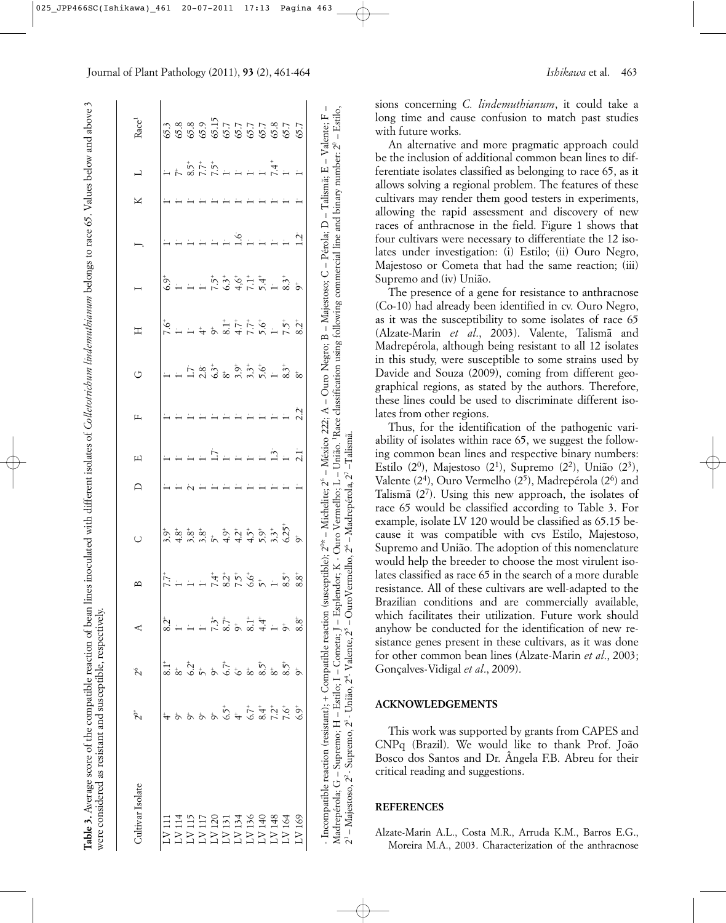| Cultivar Isolate  | $2^{\circ}$  | $\tilde{\mathcal{L}}$ | ⋖             | $\mathbf{u}$                | $\cup$                                                                                                                                                                                                                                                                                                        | ≏ | щ              | щ   | Ò                                                                                                                                                                                                                                                                                                                      | Η                   |                                |   | ⊻ | 凵              | Race <sup>1</sup>       |
|-------------------|--------------|-----------------------|---------------|-----------------------------|---------------------------------------------------------------------------------------------------------------------------------------------------------------------------------------------------------------------------------------------------------------------------------------------------------------|---|----------------|-----|------------------------------------------------------------------------------------------------------------------------------------------------------------------------------------------------------------------------------------------------------------------------------------------------------------------------|---------------------|--------------------------------|---|---|----------------|-------------------------|
| $\sum_{i=1}^{n}$  |              |                       | $\ddot{2}^*$  |                             | $3.9+$                                                                                                                                                                                                                                                                                                        |   |                |     |                                                                                                                                                                                                                                                                                                                        | $\ddot{9}^{+}$      | $6.9^+$                        |   |   |                | 65.3                    |
| LV <sub>114</sub> |              |                       |               |                             | $4.8+$                                                                                                                                                                                                                                                                                                        |   |                |     |                                                                                                                                                                                                                                                                                                                        |                     |                                |   |   |                | 65.8                    |
| LVI15             |              |                       |               |                             | $\begin{array}{c} 0.95 \\ 0.95 \\ 0.95 \\ 0.95 \\ 0.95 \\ 0.95 \\ 0.95 \\ 0.95 \\ 0.95 \\ 0.95 \\ 0.95 \\ 0.95 \\ 0.95 \\ 0.95 \\ 0.95 \\ 0.95 \\ 0.95 \\ 0.95 \\ 0.95 \\ 0.95 \\ 0.95 \\ 0.95 \\ 0.95 \\ 0.95 \\ 0.95 \\ 0.95 \\ 0.95 \\ 0.95 \\ 0.95 \\ 0.95 \\ 0.95 \\ 0.95 \\ 0.95 \\ 0.95 \\ 0.95 \\ 0.$ |   |                |     |                                                                                                                                                                                                                                                                                                                        |                     |                                |   |   | $8.5^{+}$      | 65.8                    |
| LV117             |              |                       |               |                             |                                                                                                                                                                                                                                                                                                               |   |                |     |                                                                                                                                                                                                                                                                                                                        | $\overset{+}{\tau}$ |                                |   |   | $7.5^{+}$      | 65.9                    |
| LV120             |              |                       |               |                             |                                                                                                                                                                                                                                                                                                               |   |                |     |                                                                                                                                                                                                                                                                                                                        |                     | $7.5^{+}$                      |   |   |                | 65.15                   |
| LV13              |              | 6.7+                  |               | $7.37 + 2.5$<br>$7.5 + 2.5$ |                                                                                                                                                                                                                                                                                                               |   |                |     | $\begin{array}{cccccc} 2.8 & 5 & 5 & 5 & 5 \\ 2.5 & 5 & 5 & 5 & 5 \\ 3.5 & 5 & 5 & 5 & 5 \\ 4.5 & 5 & 5 & 5 & 5 \\ 5.5 & 5 & 5 & 5 & 5 \\ 6.5 & 5 & 5 & 5 & 5 \\ 7.5 & 5 & 5 & 5 & 5 \\ 8.5 & 5 & 5 & 5 & 5 \\ 9.5 & 5 & 5 & 5 & 5 \\ 10 & 5 & 5 & 5 & 5 & 5 \\ 11 & 5 & 5 & 5 & 5 & 5 \\ 12 & 5 & 5 & 5 & 5 & 5 \\ 1$ | $8.1+$              | $6.3^{+}$                      |   |   | $\overline{a}$ |                         |
| LV <sub>134</sub> |              |                       | $\sigma^+$    |                             |                                                                                                                                                                                                                                                                                                               |   |                |     |                                                                                                                                                                                                                                                                                                                        |                     |                                | ې |   | $=$ $=$        |                         |
| LVI36             | $6.7*$       | $\infty$              | $\frac{1}{8}$ |                             |                                                                                                                                                                                                                                                                                                               |   |                |     |                                                                                                                                                                                                                                                                                                                        | $37770$<br>$7770$   | $45 + 7$<br>$6 + 4$<br>$7 + 4$ |   |   |                |                         |
| LVI40             |              | $8.5^+$               | 4.4           | $\zeta^+$                   |                                                                                                                                                                                                                                                                                                               |   |                |     |                                                                                                                                                                                                                                                                                                                        |                     |                                |   |   |                |                         |
| LV 148            |              |                       |               | $\leftarrow$                | $3.3^{+}$                                                                                                                                                                                                                                                                                                     |   | $\frac{1}{2}$  |     | $\frac{1}{1}$                                                                                                                                                                                                                                                                                                          | $\frac{1}{1}$       | $\ddot{ }$                     |   |   | 7.4            | 57<br>577<br>599<br>599 |
| LV164             | $\ddot{9.1}$ |                       | $\sigma^+$    | $8.5^{+}$                   | $6.25+$                                                                                                                                                                                                                                                                                                       |   | $\overline{a}$ |     | $8.3^{+}$                                                                                                                                                                                                                                                                                                              | $7.5^+$             | $8.3^{+}$                      |   |   |                | 65.7                    |
| LV 169            | $6.9^+$      |                       | $8.8^+$       | $\stackrel{+}{\infty}$<br>∞ | $\sigma^*$                                                                                                                                                                                                                                                                                                    |   | $\frac{1}{2}$  | 2.2 | $\infty$                                                                                                                                                                                                                                                                                                               | $8.2^{+}$           | Ġ                              | Ņ |   |                | 65.7                    |

**Table 3.** Average score of the compatible reaction of bean lines inoculated with different isolates of *Colletotrichum lindemuthianum* belongs to race 65. Values below and above 3

An alternative and more pragmatic approach could be the inclusion of additional common bean lines to differentiate isolates classified as belonging to race 65, as it allows solving a regional problem. The features of these cultivars may render them good testers in experiments, allowing the rapid assessment and discovery of new races of anthracnose in the field. Figure 1 shows that four cultivars were necessary to differentiate the 12 isolates under investigation: (i) Estilo; (ii) Ouro Negro, Majestoso or Cometa that had the same reaction; (iii) Supremo and (iv) União.

The presence of a gene for resistance to anthracnose (Co-10) had already been identified in cv. Ouro Negro, as it was the susceptibility to some isolates of race 65 (Alzate-Marin *et al*., 2003). Valente, Talismã and Madrepérola, although being resistant to all 12 isolates in this study, were susceptible to some strains used by Davide and Souza (2009), coming from different geographical regions, as stated by the authors. Therefore, these lines could be used to discriminate different isolates from other regions.

Thus, for the identification of the pathogenic variability of isolates within race 65, we suggest the following common bean lines and respective binary numbers: Estilo (2<sup>0</sup>), Majestoso (2<sup>1</sup>), Supremo (2<sup>2</sup>), União (2<sup>3</sup>), Valente (2<sup>4</sup>), Ouro Vermelho (2<sup>5</sup>), Madrepérola (2<sup>6</sup>) and Talismã (27). Using this new approach, the isolates of race 65 would be classified according to Table 3. For example, isolate LV 120 would be classified as 65.15 because it was compatible with cvs Estilo, Majestoso, Supremo and União. The adoption of this nomenclature would help the breeder to choose the most virulent isolates classified as race 65 in the search of a more durable resistance. All of these cultivars are well-adapted to the Brazilian conditions and are commercially available, which facilitates their utilization. Future work should anyhow be conducted for the identification of new resistance genes present in these cultivars, as it was done for other common bean lines (Alzate-Marin *et al*., 2003; Gonçalves-Vidigal *et al*., 2009).

### **ACKNOWLEDGEMENTS**

This work was supported by grants from CAPES and CNPq (Brazil). We would like to thank Prof. João Bosco dos Santos and Dr. Ângela F.B. Abreu for their critical reading and suggestions.

## **REFERENCES**

Alzate-Marin A.L., Costa M.R., Arruda K.M., Barros E.G., Moreira M.A., 2003. Characterization of the anthracnose